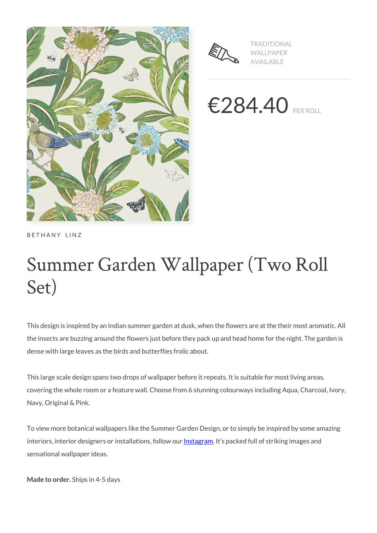



TRADITIONAL WALLPAPER AVAILABLE

€284.40 PER ROLL

BETHANY LINZ

# Summer Garden Wallpaper (Two Roll Set)

This design is inspired by an Indian summer garden at dusk, when the flowers are at the their most aromatic. All the insects are buzzing around the flowers just before they pack up and head home for the night. The garden is dense with large leaves as the birds and butterflies frolic about.

This large scale design spans two drops of wallpaper before it repeats. It is suitable for most living areas, covering the whole room or a feature wall. Choose from 6 stunning colourways including Aqua, Charcoal, Ivory, Navy, Original & Pink.

To view more botanical wallpapers like the Summer Garden Design, or to simply be inspired by some amazing interiors, interior designers or installations, follow our **Instagram**. It's packed full of striking images and sensational wallpaper ideas.

**Made to order.** Ships in 4-5 days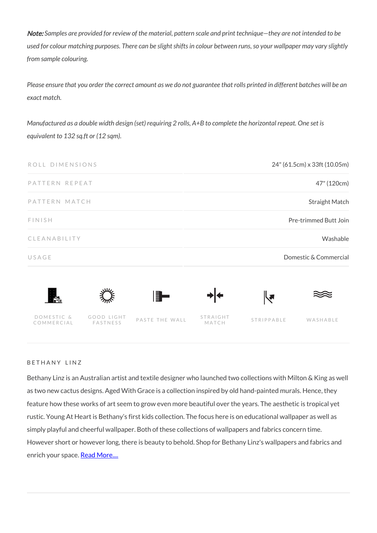Note: *Samples are provided for review of the material, pattern scale and print technique—they are not intended to be used for colour matching purposes. There can be slight shifts in colour between runs, so your wallpaper may vary slightly from sample colouring.*

*Please ensure that you order the correct amount as we do not guarantee that rolls printed in different batches will be an exact match.*

*Manufactured as a double width design (set) requiring 2 rolls, A+B to complete the horizontal repeat. One set is equivalent to 132 sq.ft or (12 sqm).*

| 24" (61.5cm) x 33ft (10.05m) |                      |                   |                | ROLL DIMENSIONS        |                          |  |
|------------------------------|----------------------|-------------------|----------------|------------------------|--------------------------|--|
| 47" (120cm)                  |                      |                   |                |                        | PATTERN REPEAT           |  |
| <b>Straight Match</b>        |                      |                   |                | PATTERN MATCH          |                          |  |
| Pre-trimmed Butt Join        |                      |                   |                |                        | <b>FINISH</b>            |  |
| Washable                     |                      |                   |                |                        | CLEANABILITY             |  |
| Domestic & Commercial        |                      |                   |                |                        | USAGE                    |  |
|                              | $\blacktriangledown$ | ┪┪                | H              |                        | Ħ.                       |  |
| WASHABLE                     | STRIPPABLE           | STRAIGHT<br>MATCH | PASTE THE WALL | GOOD LIGHT<br>FASTNESS | DOMESTIC &<br>COMMERCIAL |  |

#### BETHANY LINZ

Bethany Linz is an Australian artist and textile designer who launched two collections with Milton & King as well as two new cactus designs. Aged With Grace is a collection inspired by old hand-painted murals. Hence, they feature how these works of art seem to grow even more beautiful over the years. The aesthetic is tropical yet rustic. Young At Heart is Bethany's first kids collection. The focus here is on educational wallpaper as well as simply playful and cheerful wallpaper. Both of these collections of wallpapers and fabrics concern time. However short or however long, there is beauty to behold. Shop for Bethany Linz's wallpapers and fabrics and enrich your space. [Read More....](https://www.miltonandking.com/blog/who-is-bethany-linz/)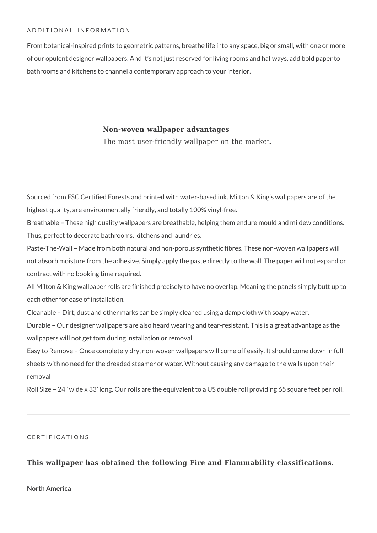#### ADDITIONAL INFORMATION

From botanical-inspired prints to geometric patterns, breathe life into any space, big or small, with one or more of our opulent designer wallpapers. And it's not just reserved for living rooms and hallways, add bold paper to bathrooms and kitchens to channel a contemporary approach to your interior.

### **Non-woven wallpaper advantages**

The most user-friendly wallpaper on the market.

Sourced from FSC Certified Forests and printed with water-based ink. Milton & King's wallpapers are of the highest quality, are environmentally friendly, and totally 100% vinyl-free.

Breathable – These high quality wallpapers are breathable, helping them endure mould and mildew conditions. Thus, perfect to decorate bathrooms, kitchens and laundries.

Paste-The-Wall – Made from both natural and non-porous synthetic fibres. These non-woven wallpapers will not absorb moisture from the adhesive. Simply apply the paste directly to the wall. The paper will not expand or contract with no booking time required.

All Milton & King wallpaper rolls are finished precisely to have no overlap. Meaning the panels simply butt up to each other for ease of installation.

Cleanable – Dirt, dust and other marks can be simply cleaned using a damp cloth with soapy water.

Durable – Our designer wallpapers are also heard wearing and tear-resistant. This is a great advantage as the wallpapers will not get torn during installation or removal.

Easy to Remove – Once completely dry, non-woven wallpapers will come off easily. It should come down in full sheets with no need for the dreaded steamer or water. Without causing any damage to the walls upon their removal

Roll Size – 24" wide x 33' long. Our rolls are the equivalent to a US double roll providing 65 square feet per roll.

#### CERTIFICATIONS

## **This wallpaper has obtained the following Fire and Flammability classifications.**

#### **North America**